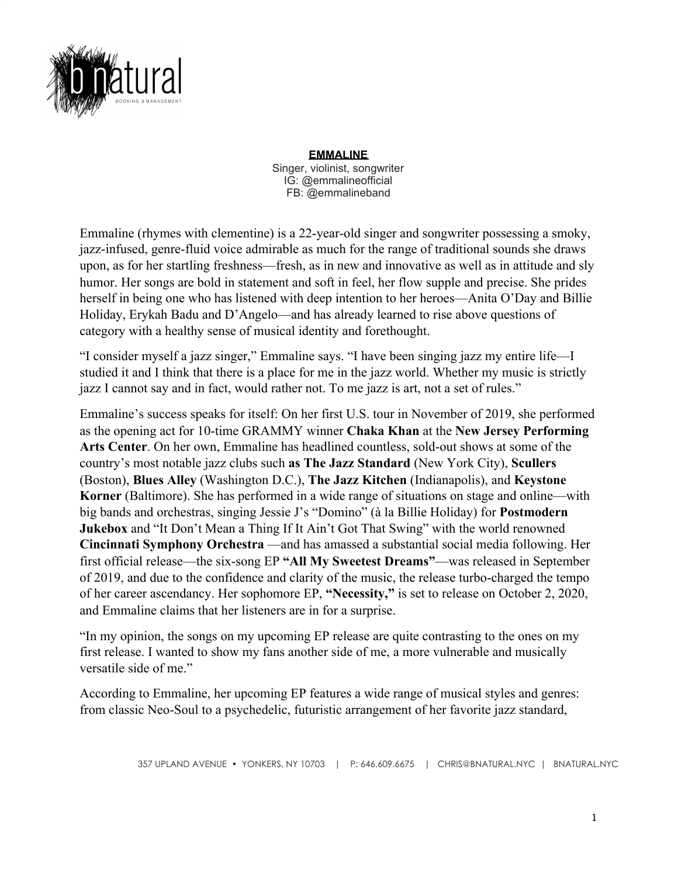

**EMMALINE** Singer, violinist, songwriter IG: @emmalineofficial FB: @emmalineband

Emmaline (rhymes with clementine) is a 22-year-old singer and songwriter possessing a smoky, jazz-infused, genre-fluid voice admirable as much for the range of traditional sounds she draws upon, as for her startling freshness—fresh, as in new and innovative as well as in attitude and sly humor. Her songs are bold in statement and soft in feel, her flow supple and precise. She prides herself in being one who has listened with deep intention to her heroes—Anita O'Day and Billie Holiday, Erykah Badu and D'Angelo—and has already learned to rise above questions of category with a healthy sense of musical identity and forethought.

"I consider myself a jazz singer," Emmaline says. "I have been singing jazz my entire life—I studied it and I think that there is a place for me in the jazz world. Whether my music is strictly jazz I cannot say and in fact, would rather not. To me jazz is art, not a set of rules."

Emmaline's success speaks for itself: On her first U.S. tour in November of 2019, she performed as the opening act for 10-time GRAMMY winner **Chaka Khan** at the **New Jersey Performing Arts Center**. On her own, Emmaline has headlined countless, sold-out shows at some of the country's most notable jazz clubs such **as The Jazz Standard** (New York City), **Scullers** (Boston), **Blues Alley** (Washington D.C.), **The Jazz Kitchen** (Indianapolis), and **Keystone Korner** (Baltimore). She has performed in a wide range of situations on stage and online—with big bands and orchestras, singing Jessie J's "Domino" (à la Billie Holiday) for **Postmodern Jukebox** and "It Don't Mean a Thing If It Ain't Got That Swing" with the world renowned **Cincinnati Symphony Orchestra** —and has amassed a substantial social media following. Her first official release—the six-song EP **"All My Sweetest Dreams"**—was released in September of 2019, and due to the confidence and clarity of the music, the release turbo-charged the tempo of her career ascendancy. Her sophomore EP, **"Necessity,"** is set to release on October 2, 2020, and Emmaline claims that her listeners are in for a surprise.

"In my opinion, the songs on my upcoming EP release are quite contrasting to the ones on my first release. I wanted to show my fans another side of me, a more vulnerable and musically versatile side of me."

According to Emmaline, her upcoming EP features a wide range of musical styles and genres: from classic Neo-Soul to a psychedelic, futuristic arrangement of her favorite jazz standard,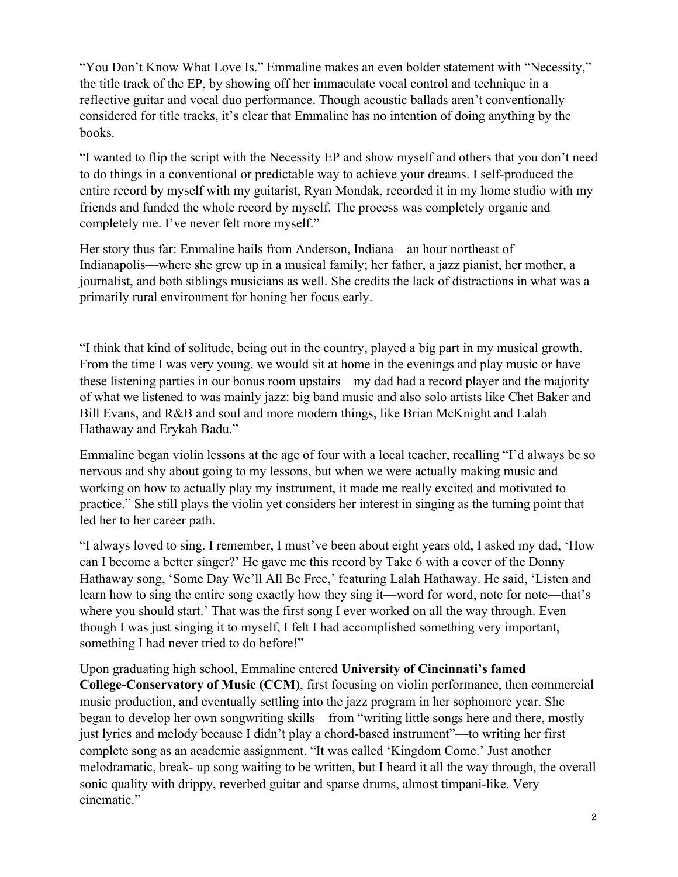"You Don't Know What Love Is." Emmaline makes an even bolder statement with "Necessity," the title track of the EP, by showing off her immaculate vocal control and technique in a reflective guitar and vocal duo performance. Though acoustic ballads aren't conventionally considered for title tracks, it's clear that Emmaline has no intention of doing anything by the books.

"I wanted to flip the script with the Necessity EP and show myself and others that you don't need to do things in a conventional or predictable way to achieve your dreams. I self-produced the entire record by myself with my guitarist, Ryan Mondak, recorded it in my home studio with my friends and funded the whole record by myself. The process was completely organic and completely me. I've never felt more myself."

Her story thus far: Emmaline hails from Anderson, Indiana—an hour northeast of Indianapolis—where she grew up in a musical family; her father, a jazz pianist, her mother, a journalist, and both siblings musicians as well. She credits the lack of distractions in what was a primarily rural environment for honing her focus early.

"I think that kind of solitude, being out in the country, played a big part in my musical growth. From the time I was very young, we would sit at home in the evenings and play music or have these listening parties in our bonus room upstairs—my dad had a record player and the majority of what we listened to was mainly jazz: big band music and also solo artists like Chet Baker and Bill Evans, and R&B and soul and more modern things, like Brian McKnight and Lalah Hathaway and Erykah Badu."

Emmaline began violin lessons at the age of four with a local teacher, recalling "I'd always be so nervous and shy about going to my lessons, but when we were actually making music and working on how to actually play my instrument, it made me really excited and motivated to practice." She still plays the violin yet considers her interest in singing as the turning point that led her to her career path.

"I always loved to sing. I remember, I must've been about eight years old, I asked my dad, 'How can I become a better singer?' He gave me this record by Take 6 with a cover of the Donny Hathaway song, 'Some Day We'll All Be Free,' featuring Lalah Hathaway. He said, 'Listen and learn how to sing the entire song exactly how they sing it—word for word, note for note—that's where you should start.' That was the first song I ever worked on all the way through. Even though I was just singing it to myself, I felt I had accomplished something very important, something I had never tried to do before!"

## Upon graduating high school, Emmaline entered **University of Cincinnati's famed**

**College-Conservatory of Music (CCM)**, first focusing on violin performance, then commercial music production, and eventually settling into the jazz program in her sophomore year. She began to develop her own songwriting skills—from "writing little songs here and there, mostly just lyrics and melody because I didn't play a chord-based instrument"—to writing her first complete song as an academic assignment. "It was called 'Kingdom Come.' Just another melodramatic, break- up song waiting to be written, but I heard it all the way through, the overall sonic quality with drippy, reverbed guitar and sparse drums, almost timpani-like. Very cinematic."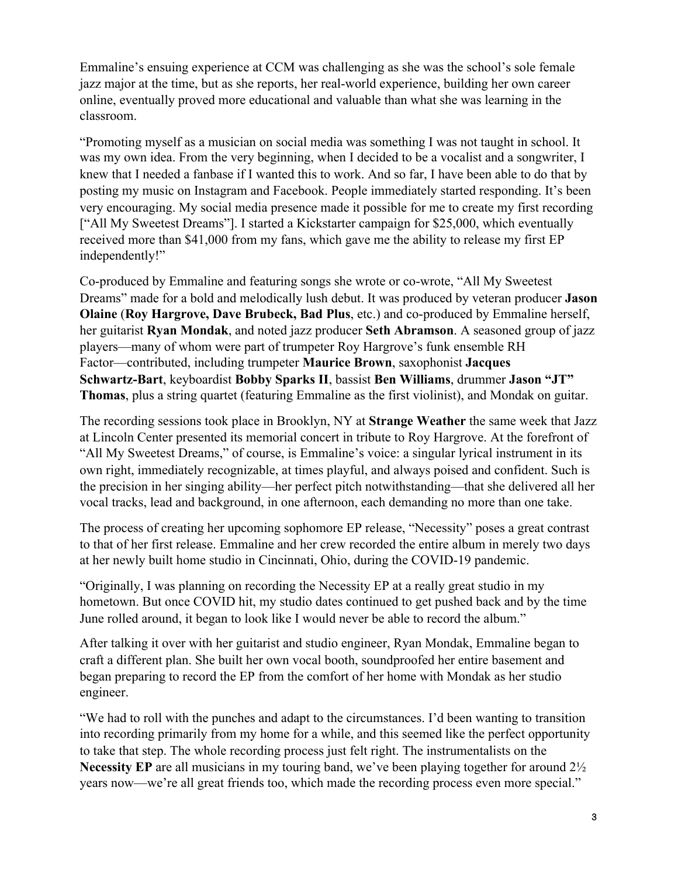Emmaline's ensuing experience at CCM was challenging as she was the school's sole female jazz major at the time, but as she reports, her real-world experience, building her own career online, eventually proved more educational and valuable than what she was learning in the classroom.

"Promoting myself as a musician on social media was something I was not taught in school. It was my own idea. From the very beginning, when I decided to be a vocalist and a songwriter, I knew that I needed a fanbase if I wanted this to work. And so far, I have been able to do that by posting my music on Instagram and Facebook. People immediately started responding. It's been very encouraging. My social media presence made it possible for me to create my first recording ["All My Sweetest Dreams"]. I started a Kickstarter campaign for \$25,000, which eventually received more than \$41,000 from my fans, which gave me the ability to release my first EP independently!"

Co-produced by Emmaline and featuring songs she wrote or co-wrote, "All My Sweetest Dreams" made for a bold and melodically lush debut. It was produced by veteran producer **Jason Olaine** (**Roy Hargrove, Dave Brubeck, Bad Plus**, etc.) and co-produced by Emmaline herself, her guitarist **Ryan Mondak**, and noted jazz producer **Seth Abramson**. A seasoned group of jazz players—many of whom were part of trumpeter Roy Hargrove's funk ensemble RH Factor—contributed, including trumpeter **Maurice Brown**, saxophonist **Jacques Schwartz-Bart**, keyboardist **Bobby Sparks II**, bassist **Ben Williams**, drummer **Jason "JT" Thomas**, plus a string quartet (featuring Emmaline as the first violinist), and Mondak on guitar.

The recording sessions took place in Brooklyn, NY at **Strange Weather** the same week that Jazz at Lincoln Center presented its memorial concert in tribute to Roy Hargrove. At the forefront of "All My Sweetest Dreams," of course, is Emmaline's voice: a singular lyrical instrument in its own right, immediately recognizable, at times playful, and always poised and confident. Such is the precision in her singing ability—her perfect pitch notwithstanding—that she delivered all her vocal tracks, lead and background, in one afternoon, each demanding no more than one take.

The process of creating her upcoming sophomore EP release, "Necessity" poses a great contrast to that of her first release. Emmaline and her crew recorded the entire album in merely two days at her newly built home studio in Cincinnati, Ohio, during the COVID-19 pandemic.

"Originally, I was planning on recording the Necessity EP at a really great studio in my hometown. But once COVID hit, my studio dates continued to get pushed back and by the time June rolled around, it began to look like I would never be able to record the album."

After talking it over with her guitarist and studio engineer, Ryan Mondak, Emmaline began to craft a different plan. She built her own vocal booth, soundproofed her entire basement and began preparing to record the EP from the comfort of her home with Mondak as her studio engineer.

"We had to roll with the punches and adapt to the circumstances. I'd been wanting to transition into recording primarily from my home for a while, and this seemed like the perfect opportunity to take that step. The whole recording process just felt right. The instrumentalists on the **Necessity EP** are all musicians in my touring band, we've been playing together for around 2½ years now—we're all great friends too, which made the recording process even more special."